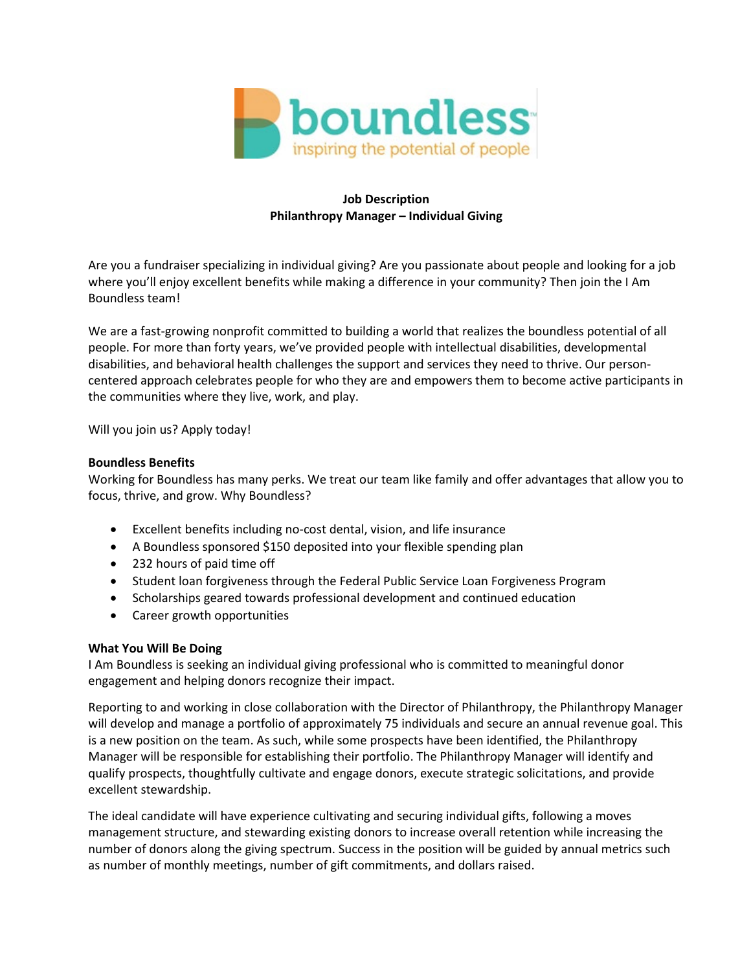

## **Job Description Philanthropy Manager – Individual Giving**

Are you a fundraiser specializing in individual giving? Are you passionate about people and looking for a job where you'll enjoy excellent benefits while making a difference in your community? Then join the I Am Boundless team!

We are a fast-growing nonprofit committed to building a world that realizes the boundless potential of all people. For more than forty years, we've provided people with intellectual disabilities, developmental disabilities, and behavioral health challenges the support and services they need to thrive. Our personcentered approach celebrates people for who they are and empowers them to become active participants in the communities where they live, work, and play.

Will you join us? Apply today!

## **Boundless Benefits**

Working for Boundless has many perks. We treat our team like family and offer advantages that allow you to focus, thrive, and grow. Why Boundless?

- Excellent benefits including no-cost dental, vision, and life insurance
- A Boundless sponsored \$150 deposited into your flexible spending plan
- 232 hours of paid time off
- Student loan forgiveness through the Federal Public Service Loan Forgiveness Program
- Scholarships geared towards professional development and continued education
- Career growth opportunities

## **What You Will Be Doing**

I Am Boundless is seeking an individual giving professional who is committed to meaningful donor engagement and helping donors recognize their impact.

Reporting to and working in close collaboration with the Director of Philanthropy, the Philanthropy Manager will develop and manage a portfolio of approximately 75 individuals and secure an annual revenue goal. This is a new position on the team. As such, while some prospects have been identified, the Philanthropy Manager will be responsible for establishing their portfolio. The Philanthropy Manager will identify and qualify prospects, thoughtfully cultivate and engage donors, execute strategic solicitations, and provide excellent stewardship.

The ideal candidate will have experience cultivating and securing individual gifts, following a moves management structure, and stewarding existing donors to increase overall retention while increasing the number of donors along the giving spectrum. Success in the position will be guided by annual metrics such as number of monthly meetings, number of gift commitments, and dollars raised.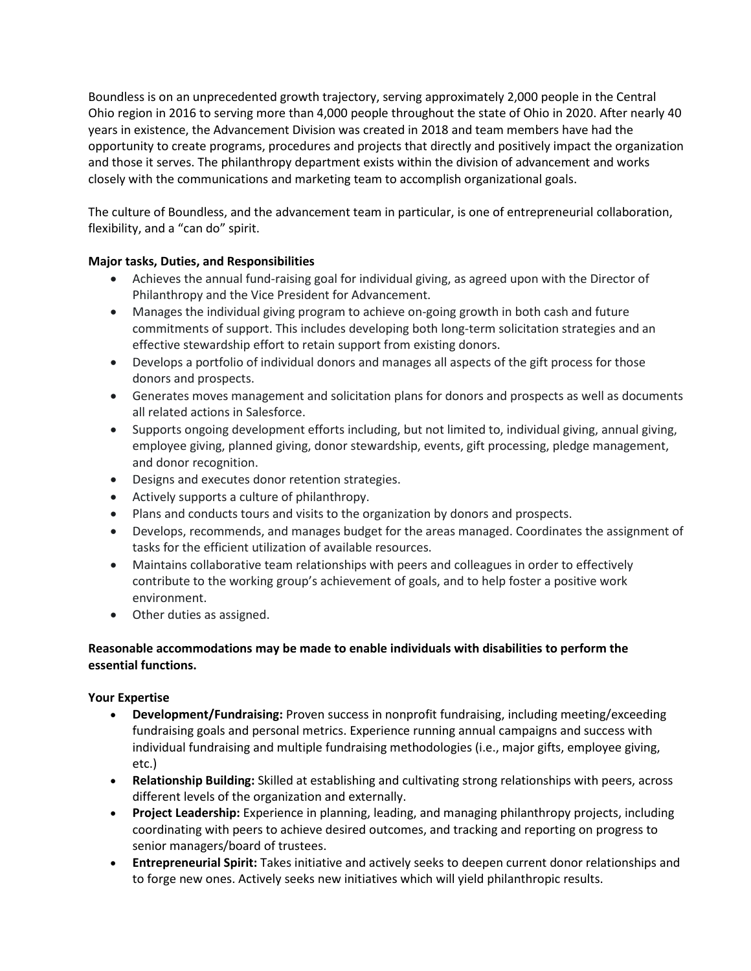Boundless is on an unprecedented growth trajectory, serving approximately 2,000 people in the Central Ohio region in 2016 to serving more than 4,000 people throughout the state of Ohio in 2020. After nearly 40 years in existence, the Advancement Division was created in 2018 and team members have had the opportunity to create programs, procedures and projects that directly and positively impact the organization and those it serves. The philanthropy department exists within the division of advancement and works closely with the communications and marketing team to accomplish organizational goals.

The culture of Boundless, and the advancement team in particular, is one of entrepreneurial collaboration, flexibility, and a "can do" spirit.

# **Major tasks, Duties, and Responsibilities**

- Achieves the annual fund-raising goal for individual giving, as agreed upon with the Director of Philanthropy and the Vice President for Advancement.
- Manages the individual giving program to achieve on-going growth in both cash and future commitments of support. This includes developing both long-term solicitation strategies and an effective stewardship effort to retain support from existing donors.
- Develops a portfolio of individual donors and manages all aspects of the gift process for those donors and prospects.
- Generates moves management and solicitation plans for donors and prospects as well as documents all related actions in Salesforce.
- Supports ongoing development efforts including, but not limited to, individual giving, annual giving, employee giving, planned giving, donor stewardship, events, gift processing, pledge management, and donor recognition.
- Designs and executes donor retention strategies.
- Actively supports a culture of philanthropy.
- Plans and conducts tours and visits to the organization by donors and prospects.
- Develops, recommends, and manages budget for the areas managed. Coordinates the assignment of tasks for the efficient utilization of available resources.
- Maintains collaborative team relationships with peers and colleagues in order to effectively contribute to the working group's achievement of goals, and to help foster a positive work environment.
- Other duties as assigned.

## **Reasonable accommodations may be made to enable individuals with disabilities to perform the essential functions.**

## **Your Expertise**

- **Development/Fundraising:** Proven success in nonprofit fundraising, including meeting/exceeding fundraising goals and personal metrics. Experience running annual campaigns and success with individual fundraising and multiple fundraising methodologies (i.e., major gifts, employee giving, etc.)
- **Relationship Building:** Skilled at establishing and cultivating strong relationships with peers, across different levels of the organization and externally.
- **Project Leadership:** Experience in planning, leading, and managing philanthropy projects, including coordinating with peers to achieve desired outcomes, and tracking and reporting on progress to senior managers/board of trustees.
- **Entrepreneurial Spirit:** Takes initiative and actively seeks to deepen current donor relationships and to forge new ones. Actively seeks new initiatives which will yield philanthropic results.